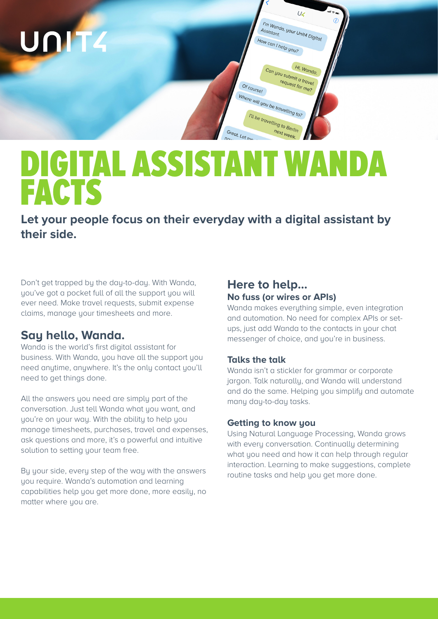

# DIGITAL ASSISTANT WANDA FACTS

**Let your people focus on their everyday with a digital assistant by their side.** 

Don't get trapped by the day-to-day. With Wanda, you've got a pocket full of all the support you will ever need. Make travel requests, submit expense claims, manage your timesheets and more.

# **Say hello, Wanda.**

Wanda is the world's first digital assistant for business. With Wanda, you have all the support you need anytime, anywhere. It's the only contact you'll need to get things done.

All the answers you need are simply part of the conversation. Just tell Wanda what you want, and you're on your way. With the ability to help you manage timesheets, purchases, travel and expenses, ask questions and more, it's a powerful and intuitive solution to setting your team free.

By your side, every step of the way with the answers you require. Wanda's automation and learning capabilities help you get more done, more easily, no matter where you are.

# **Here to help… No fuss (or wires or APIs)**

Wanda makes everything simple, even integration and automation. No need for complex APIs or setups, just add Wanda to the contacts in your chat messenger of choice, and you're in business.

## **Talks the talk**

Wanda isn't a stickler for grammar or corporate jargon. Talk naturally, and Wanda will understand and do the same. Helping you simplify and automate many day-to-day tasks.

## **Getting to know you**

Using Natural Language Processing, Wanda grows with every conversation. Continually determining what you need and how it can help through regular interaction. Learning to make suggestions, complete routine tasks and help you get more done.